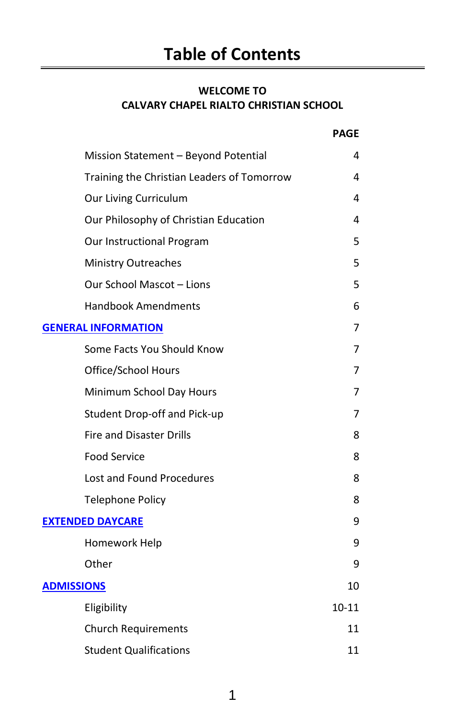# **WELCOME TO CALVARY CHAPEL RIALTO CHRISTIAN SCHOOL**

|                                            | <b>PAGE</b> |
|--------------------------------------------|-------------|
| Mission Statement - Beyond Potential       | 4           |
| Training the Christian Leaders of Tomorrow | 4           |
| Our Living Curriculum                      | 4           |
| Our Philosophy of Christian Education      | 4           |
| Our Instructional Program                  | 5           |
| <b>Ministry Outreaches</b>                 | 5           |
| Our School Mascot - Lions                  | 5           |
| <b>Handbook Amendments</b>                 | 6           |
| <b>GENERAL INFORMATION</b>                 | 7           |
| Some Facts You Should Know                 | 7           |
| Office/School Hours                        | 7           |
| Minimum School Day Hours                   | 7           |
| Student Drop-off and Pick-up               | 7           |
| Fire and Disaster Drills                   | 8           |
| <b>Food Service</b>                        | 8           |
| <b>Lost and Found Procedures</b>           | 8           |
| <b>Telephone Policy</b>                    | 8           |
| <b>EXTENDED DAYCARE</b>                    | 9           |
| Homework Help                              | 9           |
| Other                                      | 9           |
| <b>ADMISSIONS</b>                          | 10          |
| Eligibility                                | $10 - 11$   |
| <b>Church Requirements</b>                 | 11          |
| <b>Student Qualifications</b>              | 11          |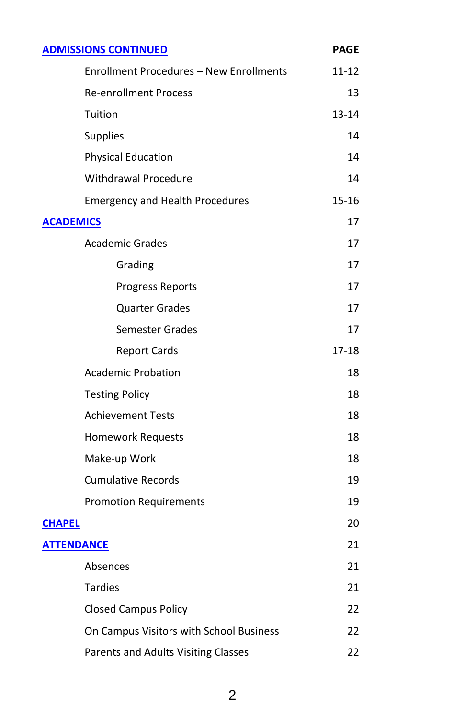| <b>ADMISSIONS CONTINUED</b>                    | <b>PAGE</b> |
|------------------------------------------------|-------------|
| <b>Enrollment Procedures - New Enrollments</b> | 11-12       |
| <b>Re-enrollment Process</b>                   | 13          |
| Tuition                                        | 13-14       |
| Supplies                                       | 14          |
| <b>Physical Education</b>                      | 14          |
| Withdrawal Procedure                           | 14          |
| <b>Emergency and Health Procedures</b>         | 15-16       |
| <b>ACADEMICS</b>                               | 17          |
| <b>Academic Grades</b>                         | 17          |
| Grading                                        | 17          |
| <b>Progress Reports</b>                        | 17          |
| <b>Quarter Grades</b>                          | 17          |
| Semester Grades                                | 17          |
| <b>Report Cards</b>                            | 17-18       |
| <b>Academic Probation</b>                      | 18          |
| <b>Testing Policy</b>                          | 18          |
| <b>Achievement Tests</b>                       | 18          |
| <b>Homework Requests</b>                       | 18          |
| Make-up Work                                   |             |
| <b>Cumulative Records</b>                      | 19          |
| <b>Promotion Requirements</b>                  | 19          |
| <b>CHAPEL</b>                                  | 20          |
| <b>ATTENDANCE</b>                              | 21          |
| Absences                                       | 21          |
| <b>Tardies</b>                                 | 21          |
| <b>Closed Campus Policy</b>                    | 22          |
| On Campus Visitors with School Business        | 22          |
| Parents and Adults Visiting Classes            | 22          |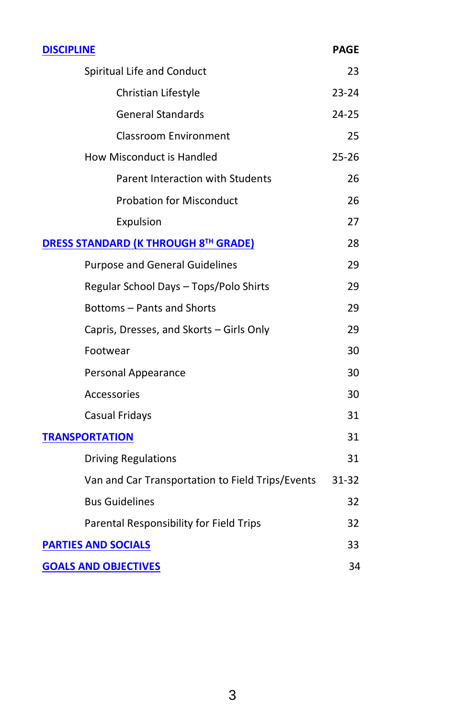| <b>DISCIPLINE</b>                                | <b>PAGE</b> |
|--------------------------------------------------|-------------|
| Spiritual Life and Conduct                       | 23          |
| Christian Lifestyle                              | $23 - 24$   |
| <b>General Standards</b>                         | $24 - 25$   |
| Classroom Environment                            | 25          |
| How Misconduct is Handled                        | $25 - 26$   |
| Parent Interaction with Students                 | 26          |
| <b>Probation for Misconduct</b>                  | 26          |
| Expulsion                                        | 27          |
| <b>DRESS STANDARD (K THROUGH 8TH GRADE)</b>      | 28          |
| <b>Purpose and General Guidelines</b>            | 29          |
| Regular School Days - Tops/Polo Shirts           | 29          |
| Bottoms – Pants and Shorts                       | 29          |
| Capris, Dresses, and Skorts - Girls Only         | 29          |
| Footwear                                         | 30          |
| Personal Appearance                              |             |
| Accessories                                      |             |
| Casual Fridays                                   | 31          |
| <b>TRANSPORTATION</b>                            | 31          |
| <b>Driving Regulations</b>                       | 31          |
| Van and Car Transportation to Field Trips/Events | 31-32       |
| <b>Bus Guidelines</b>                            | 32          |
| Parental Responsibility for Field Trips          | 32          |
| <b>PARTIES AND SOCIALS</b>                       | 33          |
| <b>GOALS AND OBJECTIVES</b>                      | 34          |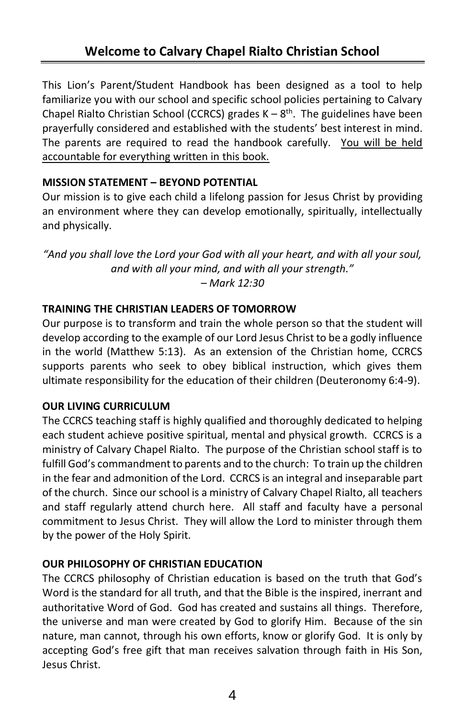This Lion's Parent/Student Handbook has been designed as a tool to help familiarize you with our school and specific school policies pertaining to Calvary Chapel Rialto Christian School (CCRCS) grades  $K - 8$ <sup>th</sup>. The guidelines have been prayerfully considered and established with the students' best interest in mind. The parents are required to read the handbook carefully. You will be held accountable for everything written in this book.

# **MISSION STATEMENT – BEYOND POTENTIAL**

Our mission is to give each child a lifelong passion for Jesus Christ by providing an environment where they can develop emotionally, spiritually, intellectually and physically.

*"And you shall love the Lord your God with all your heart, and with all your soul, and with all your mind, and with all your strength." – Mark 12:30*

# **TRAINING THE CHRISTIAN LEADERS OF TOMORROW**

Our purpose is to transform and train the whole person so that the student will develop according to the example of our Lord Jesus Christ to be a godly influence in the world (Matthew 5:13). As an extension of the Christian home, CCRCS supports parents who seek to obey biblical instruction, which gives them ultimate responsibility for the education of their children (Deuteronomy 6:4-9).

#### **OUR LIVING CURRICULUM**

The CCRCS teaching staff is highly qualified and thoroughly dedicated to helping each student achieve positive spiritual, mental and physical growth. CCRCS is a ministry of Calvary Chapel Rialto. The purpose of the Christian school staff is to fulfill God's commandment to parents and to the church: To train up the children in the fear and admonition of the Lord. CCRCS is an integral and inseparable part of the church. Since our school is a ministry of Calvary Chapel Rialto, all teachers and staff regularly attend church here. All staff and faculty have a personal commitment to Jesus Christ. They will allow the Lord to minister through them by the power of the Holy Spirit.

# **OUR PHILOSOPHY OF CHRISTIAN EDUCATION**

The CCRCS philosophy of Christian education is based on the truth that God's Word is the standard for all truth, and that the Bible is the inspired, inerrant and authoritative Word of God. God has created and sustains all things. Therefore, the universe and man were created by God to glorify Him. Because of the sin nature, man cannot, through his own efforts, know or glorify God. It is only by accepting God's free gift that man receives salvation through faith in His Son, Jesus Christ.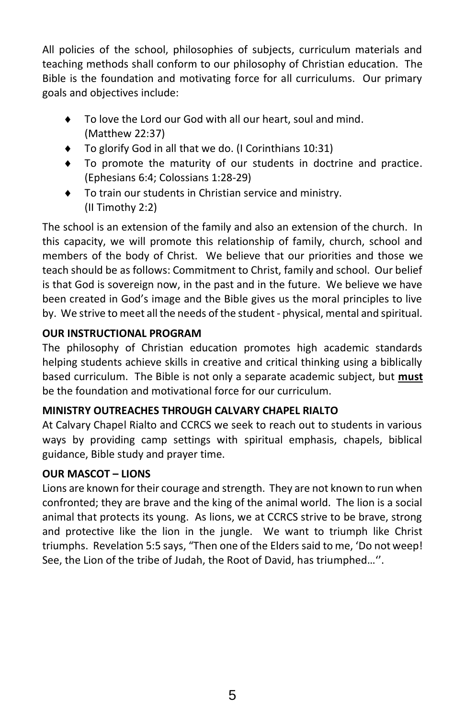All policies of the school, philosophies of subjects, curriculum materials and teaching methods shall conform to our philosophy of Christian education. The Bible is the foundation and motivating force for all curriculums. Our primary goals and objectives include:

- To love the Lord our God with all our heart, soul and mind. (Matthew 22:37)
- ◆ To glorify God in all that we do. (I Corinthians 10:31)
- To promote the maturity of our students in doctrine and practice. (Ephesians 6:4; Colossians 1:28-29)
- To train our students in Christian service and ministry. (II Timothy 2:2)

The school is an extension of the family and also an extension of the church. In this capacity, we will promote this relationship of family, church, school and members of the body of Christ. We believe that our priorities and those we teach should be as follows: Commitment to Christ, family and school. Our belief is that God is sovereign now, in the past and in the future. We believe we have been created in God's image and the Bible gives us the moral principles to live by. We strive to meet all the needs of the student - physical, mental and spiritual.

# **OUR INSTRUCTIONAL PROGRAM**

The philosophy of Christian education promotes high academic standards helping students achieve skills in creative and critical thinking using a biblically based curriculum. The Bible is not only a separate academic subject, but **must** be the foundation and motivational force for our curriculum.

# **MINISTRY OUTREACHES THROUGH CALVARY CHAPEL RIALTO**

At Calvary Chapel Rialto and CCRCS we seek to reach out to students in various ways by providing camp settings with spiritual emphasis, chapels, biblical guidance, Bible study and prayer time.

# **OUR MASCOT – LIONS**

Lions are known for their courage and strength. They are not known to run when confronted; they are brave and the king of the animal world. The lion is a social animal that protects its young. As lions, we at CCRCS strive to be brave, strong and protective like the lion in the jungle. We want to triumph like Christ triumphs. Revelation 5:5 says, "Then one of the Elders said to me, 'Do not weep! See, the Lion of the tribe of Judah, the Root of David, has triumphed…''.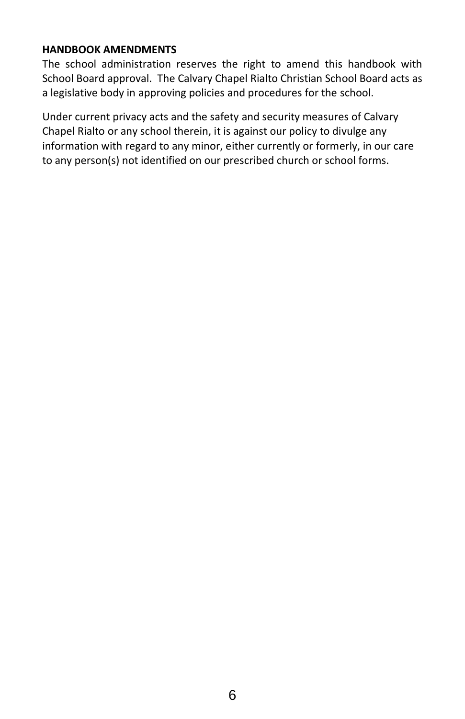#### **HANDBOOK AMENDMENTS**

The school administration reserves the right to amend this handbook with School Board approval. The Calvary Chapel Rialto Christian School Board acts as a legislative body in approving policies and procedures for the school.

Under current privacy acts and the safety and security measures of Calvary Chapel Rialto or any school therein, it is against our policy to divulge any information with regard to any minor, either currently or formerly, in our care to any person(s) not identified on our prescribed church or school forms.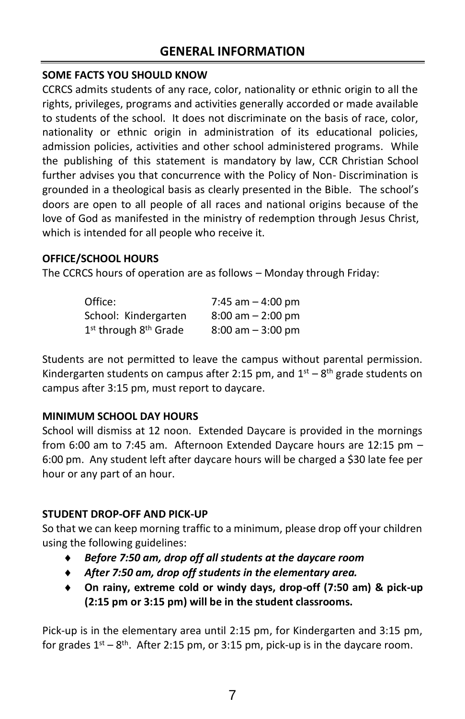# **SOME FACTS YOU SHOULD KNOW**

CCRCS admits students of any race, color, nationality or ethnic origin to all the rights, privileges, programs and activities generally accorded or made available to students of the school. It does not discriminate on the basis of race, color, nationality or ethnic origin in administration of its educational policies, admission policies, activities and other school administered programs. While the publishing of this statement is mandatory by law, CCR Christian School further advises you that concurrence with the Policy of Non- Discrimination is grounded in a theological basis as clearly presented in the Bible. The school's doors are open to all people of all races and national origins because of the love of God as manifested in the ministry of redemption through Jesus Christ, which is intended for all people who receive it.

# **OFFICE/SCHOOL HOURS**

The CCRCS hours of operation are as follows – Monday through Friday:

| Office:                                       | 7:45 am $-$ 4:00 pm                 |
|-----------------------------------------------|-------------------------------------|
| School: Kindergarten                          | $8:00$ am $-2:00$ pm                |
| 1 <sup>st</sup> through 8 <sup>th</sup> Grade | $8:00 \text{ am} - 3:00 \text{ pm}$ |

Students are not permitted to leave the campus without parental permission. Kindergarten students on campus after 2:15 pm, and  $1<sup>st</sup> - 8<sup>th</sup>$  grade students on campus after 3:15 pm, must report to daycare.

# **MINIMUM SCHOOL DAY HOURS**

School will dismiss at 12 noon. Extended Daycare is provided in the mornings from 6:00 am to 7:45 am. Afternoon Extended Daycare hours are 12:15 pm – 6:00 pm. Any student left after daycare hours will be charged a \$30 late fee per hour or any part of an hour.

# **STUDENT DROP-OFF AND PICK-UP**

So that we can keep morning traffic to a minimum, please drop off your children using the following guidelines:

- *Before 7:50 am, drop off all students at the daycare room*
- *After 7:50 am, drop off students in the elementary area.*
- **On rainy, extreme cold or windy days, drop-off (7:50 am) & pick-up (2:15 pm or 3:15 pm) will be in the student classrooms.**

Pick-up is in the elementary area until 2:15 pm, for Kindergarten and 3:15 pm, for grades  $1<sup>st</sup> - 8<sup>th</sup>$ . After 2:15 pm, or 3:15 pm, pick-up is in the daycare room.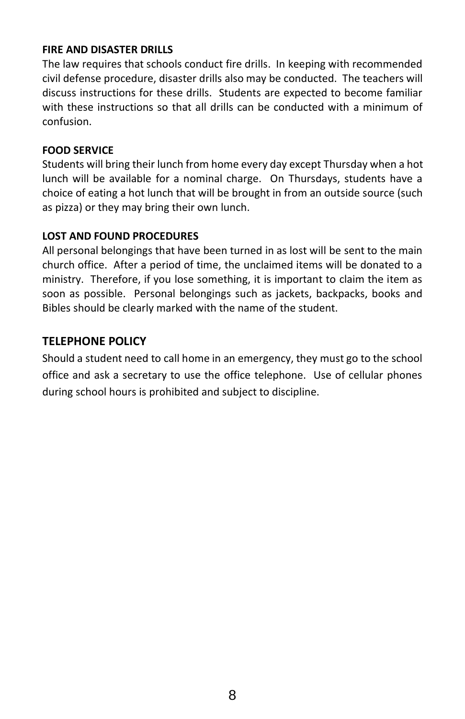#### **FIRE AND DISASTER DRILLS**

The law requires that schools conduct fire drills. In keeping with recommended civil defense procedure, disaster drills also may be conducted. The teachers will discuss instructions for these drills. Students are expected to become familiar with these instructions so that all drills can be conducted with a minimum of confusion.

#### **FOOD SERVICE**

Students will bring their lunch from home every day except Thursday when a hot lunch will be available for a nominal charge. On Thursdays, students have a choice of eating a hot lunch that will be brought in from an outside source (such as pizza) or they may bring their own lunch.

#### **LOST AND FOUND PROCEDURES**

All personal belongings that have been turned in as lost will be sent to the main church office. After a period of time, the unclaimed items will be donated to a ministry. Therefore, if you lose something, it is important to claim the item as soon as possible. Personal belongings such as jackets, backpacks, books and Bibles should be clearly marked with the name of the student.

# **TELEPHONE POLICY**

Should a student need to call home in an emergency, they must go to the school office and ask a secretary to use the office telephone. Use of cellular phones during school hours is prohibited and subject to discipline.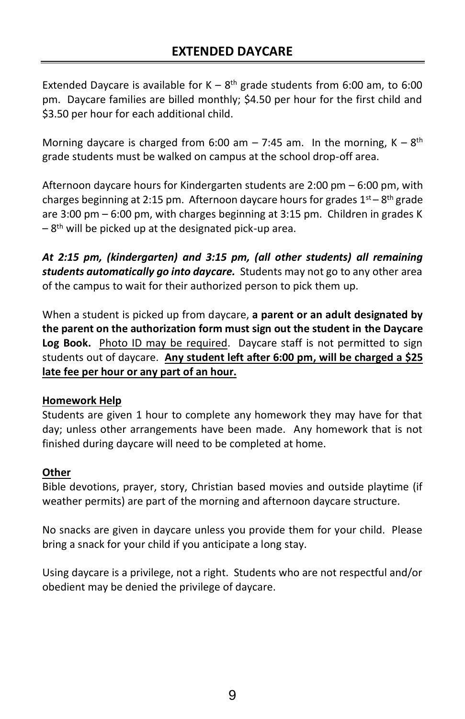Extended Daycare is available for  $K - 8$ <sup>th</sup> grade students from 6:00 am, to 6:00 pm. Daycare families are billed monthly; \$4.50 per hour for the first child and \$3.50 per hour for each additional child.

Morning daycare is charged from 6:00 am  $-7:45$  am. In the morning, K  $-8<sup>th</sup>$ grade students must be walked on campus at the school drop-off area.

Afternoon daycare hours for Kindergarten students are 2:00 pm – 6:00 pm, with charges beginning at 2:15 pm. Afternoon daycare hours for grades  $1<sup>st</sup> - 8<sup>th</sup>$  grade are 3:00 pm – 6:00 pm, with charges beginning at 3:15 pm. Children in grades K -8<sup>th</sup> will be picked up at the designated pick-up area.

*At 2:15 pm, (kindergarten) and 3:15 pm, (all other students) all remaining students automatically go into daycare.* Students may not go to any other area of the campus to wait for their authorized person to pick them up.

When a student is picked up from daycare, **a parent or an adult designated by the parent on the authorization form must sign out the student in the Daycare Log Book.** Photo ID may be required. Daycare staff is not permitted to sign students out of daycare. **Any student left after 6:00 pm, will be charged a \$25 late fee per hour or any part of an hour.**

#### **Homework Help**

Students are given 1 hour to complete any homework they may have for that day; unless other arrangements have been made. Any homework that is not finished during daycare will need to be completed at home.

#### **Other**

Bible devotions, prayer, story, Christian based movies and outside playtime (if weather permits) are part of the morning and afternoon daycare structure.

No snacks are given in daycare unless you provide them for your child. Please bring a snack for your child if you anticipate a long stay.

Using daycare is a privilege, not a right. Students who are not respectful and/or obedient may be denied the privilege of daycare.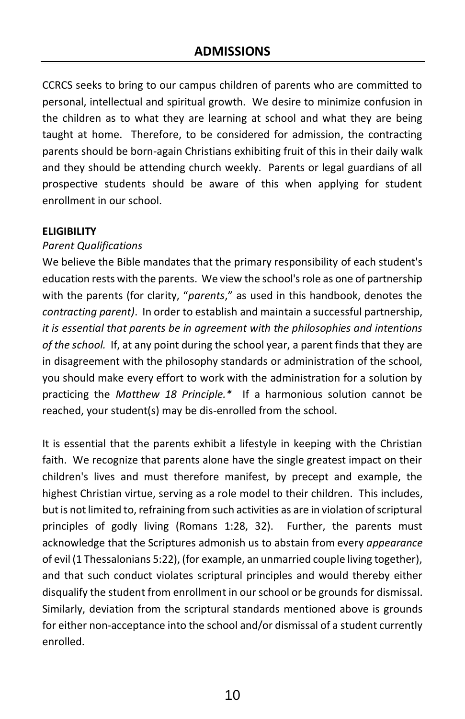CCRCS seeks to bring to our campus children of parents who are committed to personal, intellectual and spiritual growth. We desire to minimize confusion in the children as to what they are learning at school and what they are being taught at home. Therefore, to be considered for admission, the contracting parents should be born-again Christians exhibiting fruit of this in their daily walk and they should be attending church weekly. Parents or legal guardians of all prospective students should be aware of this when applying for student enrollment in our school.

#### **ELIGIBILITY**

#### *Parent Qualifications*

We believe the Bible mandates that the primary responsibility of each student's education rests with the parents. We view the school's role as one of partnership with the parents (for clarity, "*parents*," as used in this handbook, denotes the *contracting parent)*. In order to establish and maintain a successful partnership, *it is essential that parents be in agreement with the philosophies and intentions of the school.* If, at any point during the school year, a parent finds that they are in disagreement with the philosophy standards or administration of the school, you should make every effort to work with the administration for a solution by practicing the *Matthew 18 Principle.\** If a harmonious solution cannot be reached, your student(s) may be dis-enrolled from the school.

It is essential that the parents exhibit a lifestyle in keeping with the Christian faith. We recognize that parents alone have the single greatest impact on their children's lives and must therefore manifest, by precept and example, the highest Christian virtue, serving as a role model to their children. This includes, but is not limited to, refraining from such activities as are in violation of scriptural principles of godly living (Romans 1:28, 32). Further, the parents must acknowledge that the Scriptures admonish us to abstain from every *appearance* of evil (1 Thessalonians 5:22), (for example, an unmarried couple living together), and that such conduct violates scriptural principles and would thereby either disqualify the student from enrollment in our school or be grounds for dismissal. Similarly, deviation from the scriptural standards mentioned above is grounds for either non-acceptance into the school and/or dismissal of a student currently enrolled.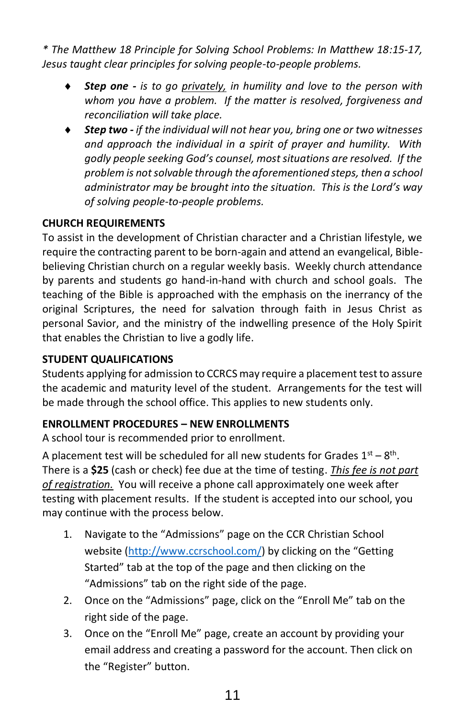*\* The Matthew 18 Principle for Solving School Problems: In Matthew 18:15-17, Jesus taught clear principles for solving people-to-people problems.*

- *Step one - is to go privately, in humility and love to the person with whom you have a problem. If the matter is resolved, forgiveness and reconciliation will take place.*
- *Step two - if the individual will not hear you, bring one or two witnesses and approach the individual in a spirit of prayer and humility. With godly people seeking God's counsel, most situations are resolved. If the problem is not solvable through the aforementioned steps, then a school administrator may be brought into the situation. This is the Lord's way of solving people-to-people problems.*

# **CHURCH REQUIREMENTS**

To assist in the development of Christian character and a Christian lifestyle, we require the contracting parent to be born-again and attend an evangelical, Biblebelieving Christian church on a regular weekly basis. Weekly church attendance by parents and students go hand-in-hand with church and school goals. The teaching of the Bible is approached with the emphasis on the inerrancy of the original Scriptures, the need for salvation through faith in Jesus Christ as personal Savior, and the ministry of the indwelling presence of the Holy Spirit that enables the Christian to live a godly life.

### **STUDENT QUALIFICATIONS**

Students applying for admission to CCRCS may require a placement test to assure the academic and maturity level of the student. Arrangements for the test will be made through the school office. This applies to new students only.

#### **ENROLLMENT PROCEDURES – NEW ENROLLMENTS**

A school tour is recommended prior to enrollment.

A placement test will be scheduled for all new students for Grades  $1<sup>st</sup> - 8<sup>th</sup>$ . There is a **\$25** (cash or check) fee due at the time of testing. *This fee is not part of registration.* You will receive a phone call approximately one week after testing with placement results. If the student is accepted into our school, you may continue with the process below.

- 1. Navigate to the "Admissions" page on the CCR Christian School website [\(http://www.ccrschool.com/](http://www.ccrschool.com/)) by clicking on the "Getting Started" tab at the top of the page and then clicking on the "Admissions" tab on the right side of the page.
- 2. Once on the "Admissions" page, click on the "Enroll Me" tab on the right side of the page.
- 3. Once on the "Enroll Me" page, create an account by providing your email address and creating a password for the account. Then click on the "Register" button.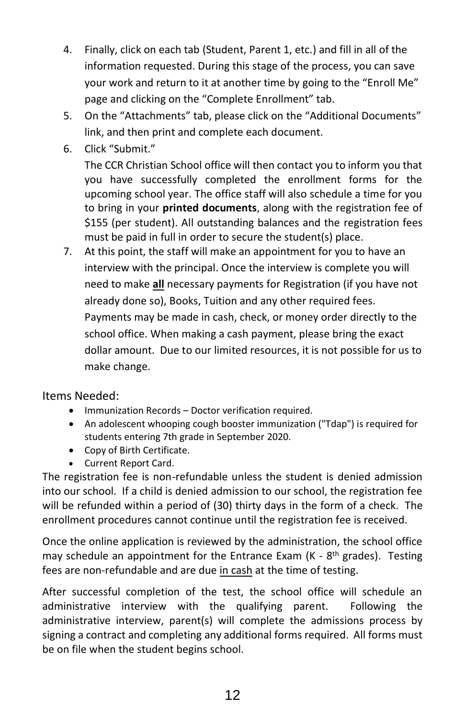- 4. Finally, click on each tab (Student, Parent 1, etc.) and fill in all of the information requested. During this stage of the process, you can save your work and return to it at another time by going to the "Enroll Me" page and clicking on the "Complete Enrollment" tab.
- 5. On the "Attachments" tab, please click on the "Additional Documents" link, and then print and complete each document.
- 6. Click "Submit."

The CCR Christian School office will then contact you to inform you that you have successfully completed the enrollment forms for the upcoming school year. The office staff will also schedule a time for you to bring in your **printed documents**, along with the registration fee of \$155 (per student). All outstanding balances and the registration fees must be paid in full in order to secure the student(s) place.

7. At this point, the staff will make an appointment for you to have an interview with the principal. Once the interview is complete you will need to make **all** necessary payments for Registration (if you have not already done so), Books, Tuition and any other required fees. Payments may be made in cash, check, or money order directly to the school office. When making a cash payment, please bring the exact dollar amount. Due to our limited resources, it is not possible for us to make change.

#### Items Needed:

- Immunization Records Doctor verification required.
- An adolescent whooping cough booster immunization ("Tdap") is required for students entering 7th grade in September 2020.
- Copy of Birth Certificate.
- Current Report Card.

The registration fee is non-refundable unless the student is denied admission into our school. If a child is denied admission to our school, the registration fee will be refunded within a period of (30) thirty days in the form of a check. The enrollment procedures cannot continue until the registration fee is received.

Once the online application is reviewed by the administration, the school office may schedule an appointment for the Entrance Exam (K - 8<sup>th</sup> grades). Testing fees are non-refundable and are due in cash at the time of testing.

After successful completion of the test, the school office will schedule an administrative interview with the qualifying parent. Following the administrative interview, parent(s) will complete the admissions process by signing a contract and completing any additional forms required. All forms must be on file when the student begins school.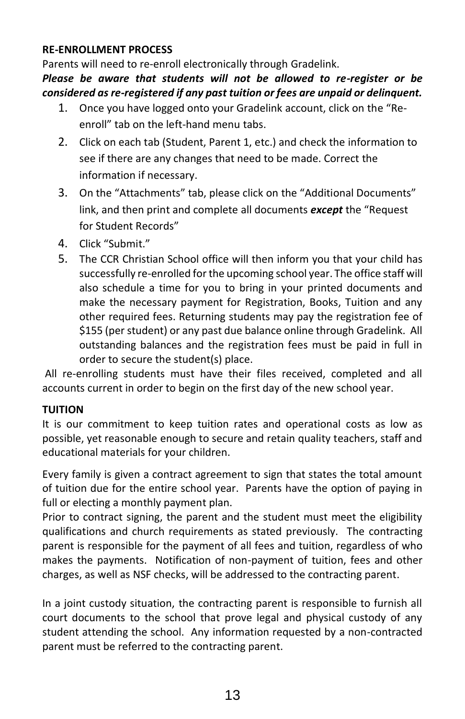# **RE-ENROLLMENT PROCESS**

Parents will need to re-enroll electronically through Gradelink.

# *Please be aware that students will not be allowed to re-register or be considered as re-registered if any past tuition or fees are unpaid or delinquent.*

- 1. Once you have logged onto your Gradelink account, click on the "Reenroll" tab on the left-hand menu tabs.
- 2. Click on each tab (Student, Parent 1, etc.) and check the information to see if there are any changes that need to be made. Correct the information if necessary.
- 3. On the "Attachments" tab, please click on the "Additional Documents" link, and then print and complete all documents *except* the "Request for Student Records"
- 4. Click "Submit."
- 5. The CCR Christian School office will then inform you that your child has successfully re-enrolled for the upcoming school year. The office staff will also schedule a time for you to bring in your printed documents and make the necessary payment for Registration, Books, Tuition and any other required fees. Returning students may pay the registration fee of \$155 (per student) or any past due balance online through Gradelink. All outstanding balances and the registration fees must be paid in full in order to secure the student(s) place.

All re-enrolling students must have their files received, completed and all accounts current in order to begin on the first day of the new school year.

# **TUITION**

It is our commitment to keep tuition rates and operational costs as low as possible, yet reasonable enough to secure and retain quality teachers, staff and educational materials for your children.

Every family is given a contract agreement to sign that states the total amount of tuition due for the entire school year. Parents have the option of paying in full or electing a monthly payment plan.

Prior to contract signing, the parent and the student must meet the eligibility qualifications and church requirements as stated previously. The contracting parent is responsible for the payment of all fees and tuition, regardless of who makes the payments. Notification of non-payment of tuition, fees and other charges, as well as NSF checks, will be addressed to the contracting parent.

In a joint custody situation, the contracting parent is responsible to furnish all court documents to the school that prove legal and physical custody of any student attending the school. Any information requested by a non-contracted parent must be referred to the contracting parent.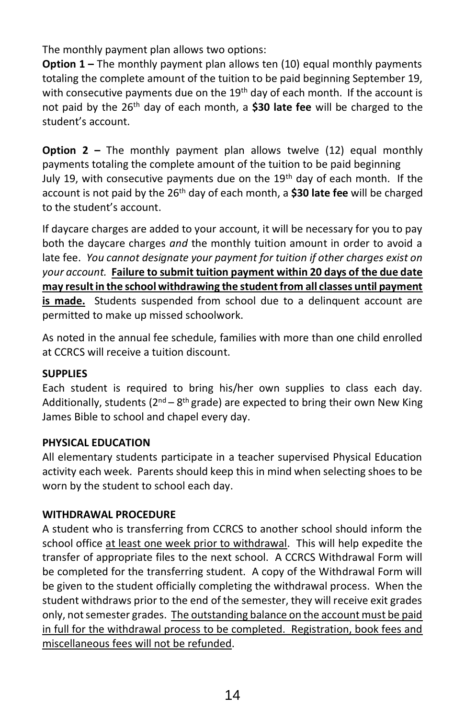The monthly payment plan allows two options:

**Option 1 –** The monthly payment plan allows ten (10) equal monthly payments totaling the complete amount of the tuition to be paid beginning September 19, with consecutive payments due on the 19<sup>th</sup> day of each month. If the account is not paid by the 26th day of each month, a **\$30 late fee** will be charged to the student's account.

**Option 2 –** The monthly payment plan allows twelve (12) equal monthly payments totaling the complete amount of the tuition to be paid beginning July 19, with consecutive payments due on the  $19<sup>th</sup>$  day of each month. If the account is not paid by the 26th day of each month, a **\$30 late fee** will be charged to the student's account.

If daycare charges are added to your account, it will be necessary for you to pay both the daycare charges *and* the monthly tuition amount in order to avoid a late fee. *You cannot designate your payment for tuition if other charges exist on your account.* **Failure to submit tuition payment within 20 days of the due date may result in the school withdrawing the student from all classes until payment is made.** Students suspended from school due to a delinquent account are permitted to make up missed schoolwork.

As noted in the annual fee schedule, families with more than one child enrolled at CCRCS will receive a tuition discount.

# **SUPPLIES**

Each student is required to bring his/her own supplies to class each day. Additionally, students (2<sup>nd</sup> – 8<sup>th</sup> grade) are expected to bring their own New King James Bible to school and chapel every day.

# **PHYSICAL EDUCATION**

All elementary students participate in a teacher supervised Physical Education activity each week. Parents should keep this in mind when selecting shoes to be worn by the student to school each day.

# **WITHDRAWAL PROCEDURE**

A student who is transferring from CCRCS to another school should inform the school office at least one week prior to withdrawal. This will help expedite the transfer of appropriate files to the next school. A CCRCS Withdrawal Form will be completed for the transferring student. A copy of the Withdrawal Form will be given to the student officially completing the withdrawal process. When the student withdraws prior to the end of the semester, they will receive exit grades only, not semester grades. The outstanding balance on the account must be paid in full for the withdrawal process to be completed. Registration, book fees and miscellaneous fees will not be refunded.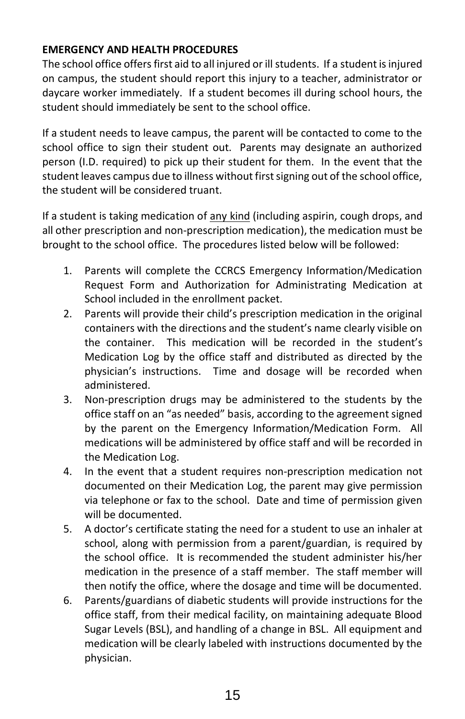# **EMERGENCY AND HEALTH PROCEDURES**

The school office offers first aid to all injured or ill students. If a student is injured on campus, the student should report this injury to a teacher, administrator or daycare worker immediately. If a student becomes ill during school hours, the student should immediately be sent to the school office.

If a student needs to leave campus, the parent will be contacted to come to the school office to sign their student out. Parents may designate an authorized person (I.D. required) to pick up their student for them. In the event that the student leaves campus due to illness without first signing out of the school office, the student will be considered truant.

If a student is taking medication of any kind (including aspirin, cough drops, and all other prescription and non-prescription medication), the medication must be brought to the school office. The procedures listed below will be followed:

- 1. Parents will complete the CCRCS Emergency Information/Medication Request Form and Authorization for Administrating Medication at School included in the enrollment packet.
- 2. Parents will provide their child's prescription medication in the original containers with the directions and the student's name clearly visible on the container. This medication will be recorded in the student's Medication Log by the office staff and distributed as directed by the physician's instructions. Time and dosage will be recorded when administered.
- 3. Non-prescription drugs may be administered to the students by the office staff on an "as needed" basis, according to the agreement signed by the parent on the Emergency Information/Medication Form. All medications will be administered by office staff and will be recorded in the Medication Log.
- 4. In the event that a student requires non-prescription medication not documented on their Medication Log, the parent may give permission via telephone or fax to the school. Date and time of permission given will be documented.
- 5. A doctor's certificate stating the need for a student to use an inhaler at school, along with permission from a parent/guardian, is required by the school office. It is recommended the student administer his/her medication in the presence of a staff member. The staff member will then notify the office, where the dosage and time will be documented.
- 6. Parents/guardians of diabetic students will provide instructions for the office staff, from their medical facility, on maintaining adequate Blood Sugar Levels (BSL), and handling of a change in BSL. All equipment and medication will be clearly labeled with instructions documented by the physician.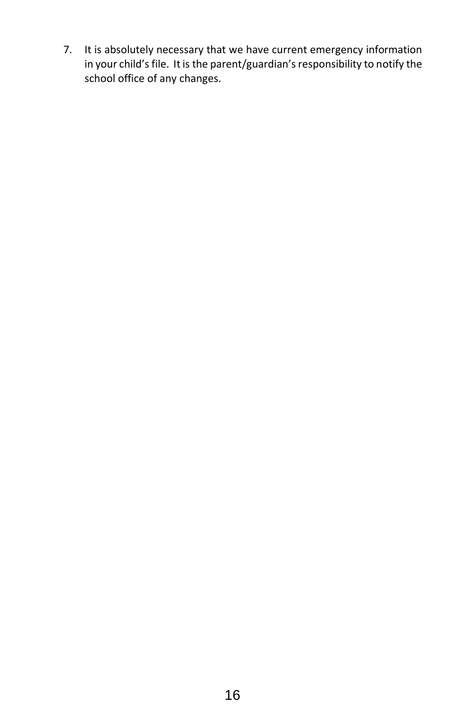7. It is absolutely necessary that we have current emergency information in your child's file. It is the parent/guardian's responsibility to notify the school office of any changes.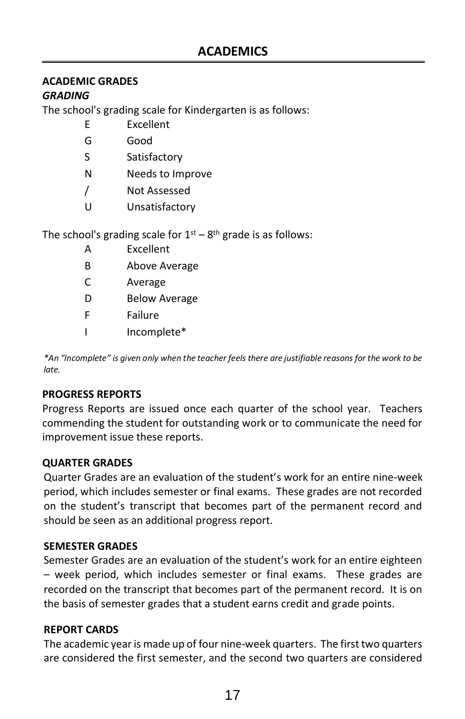# **ACADEMIC GRADES**

# *GRADING*

The school's grading scale for Kindergarten is as follows:

- E Excellent
- G Good
- S Satisfactory
- N Needs to Improve
- / Not Assessed
- U Unsatisfactory

The school's grading scale for  $1<sup>st</sup> - 8<sup>th</sup>$  grade is as follows:

- A Excellent
- B Above Average
- C Average
- D Below Average
- F Failure
- I Incomplete\*

*\*An "Incomplete" is given only when the teacher feels there are justifiable reasons for the work to be late.*

# **PROGRESS REPORTS**

Progress Reports are issued once each quarter of the school year. Teachers commending the student for outstanding work or to communicate the need for improvement issue these reports.

# **QUARTER GRADES**

Quarter Grades are an evaluation of the student's work for an entire nine-week period, which includes semester or final exams. These grades are not recorded on the student's transcript that becomes part of the permanent record and should be seen as an additional progress report.

#### **SEMESTER GRADES**

Semester Grades are an evaluation of the student's work for an entire eighteen – week period, which includes semester or final exams. These grades are recorded on the transcript that becomes part of the permanent record. It is on the basis of semester grades that a student earns credit and grade points.

# **REPORT CARDS**

The academic year is made up of four nine-week quarters. The first two quarters are considered the first semester, and the second two quarters are considered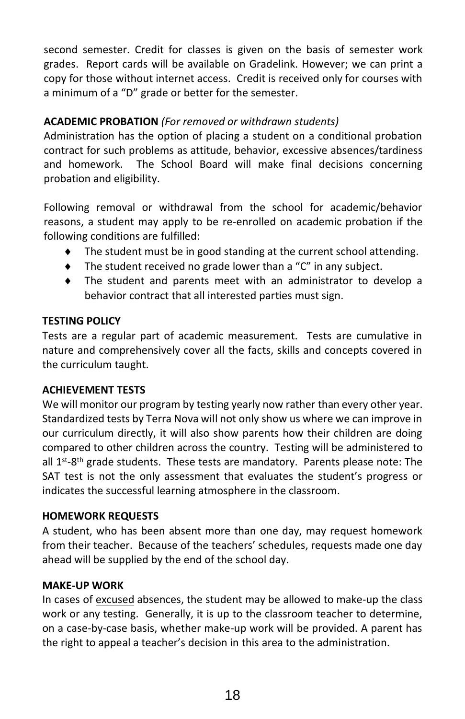second semester. Credit for classes is given on the basis of semester work grades. Report cards will be available on Gradelink. However; we can print a copy for those without internet access. Credit is received only for courses with a minimum of a "D" grade or better for the semester.

# **ACADEMIC PROBATION** *(For removed or withdrawn students)*

Administration has the option of placing a student on a conditional probation contract for such problems as attitude, behavior, excessive absences/tardiness and homework. The School Board will make final decisions concerning probation and eligibility.

Following removal or withdrawal from the school for academic/behavior reasons, a student may apply to be re-enrolled on academic probation if the following conditions are fulfilled:

- The student must be in good standing at the current school attending.
- The student received no grade lower than a "C" in any subject.
- The student and parents meet with an administrator to develop a behavior contract that all interested parties must sign.

#### **TESTING POLICY**

Tests are a regular part of academic measurement. Tests are cumulative in nature and comprehensively cover all the facts, skills and concepts covered in the curriculum taught.

#### **ACHIEVEMENT TESTS**

We will monitor our program by testing yearly now rather than every other year. Standardized tests by Terra Nova will not only show us where we can improve in our curriculum directly, it will also show parents how their children are doing compared to other children across the country. Testing will be administered to all 1<sup>st</sup>-8<sup>th</sup> grade students. These tests are mandatory. Parents please note: The SAT test is not the only assessment that evaluates the student's progress or indicates the successful learning atmosphere in the classroom.

#### **HOMEWORK REQUESTS**

A student, who has been absent more than one day, may request homework from their teacher. Because of the teachers' schedules, requests made one day ahead will be supplied by the end of the school day.

#### **MAKE-UP WORK**

In cases of excused absences, the student may be allowed to make-up the class work or any testing. Generally, it is up to the classroom teacher to determine, on a case-by-case basis, whether make-up work will be provided. A parent has the right to appeal a teacher's decision in this area to the administration.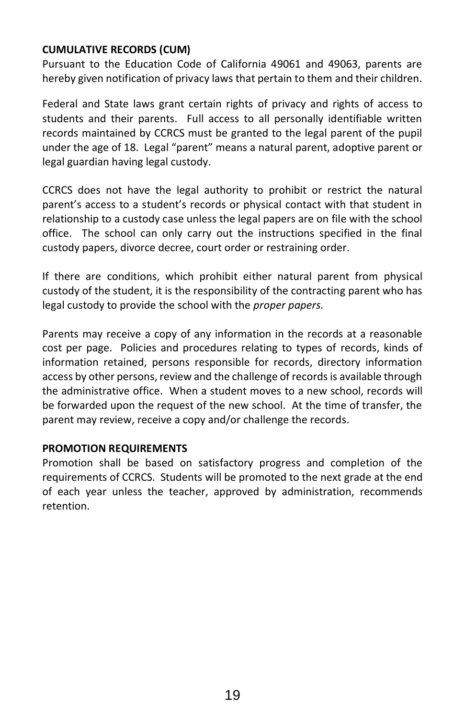#### **CUMULATIVE RECORDS (CUM)**

Pursuant to the Education Code of California 49061 and 49063, parents are hereby given notification of privacy laws that pertain to them and their children.

Federal and State laws grant certain rights of privacy and rights of access to students and their parents. Full access to all personally identifiable written records maintained by CCRCS must be granted to the legal parent of the pupil under the age of 18. Legal "parent" means a natural parent, adoptive parent or legal guardian having legal custody.

CCRCS does not have the legal authority to prohibit or restrict the natural parent's access to a student's records or physical contact with that student in relationship to a custody case unless the legal papers are on file with the school office. The school can only carry out the instructions specified in the final custody papers, divorce decree, court order or restraining order.

If there are conditions, which prohibit either natural parent from physical custody of the student, it is the responsibility of the contracting parent who has legal custody to provide the school with the *proper papers.*

Parents may receive a copy of any information in the records at a reasonable cost per page. Policies and procedures relating to types of records, kinds of information retained, persons responsible for records, directory information access by other persons, review and the challenge of records is available through the administrative office. When a student moves to a new school, records will be forwarded upon the request of the new school. At the time of transfer, the parent may review, receive a copy and/or challenge the records.

#### **PROMOTION REQUIREMENTS**

Promotion shall be based on satisfactory progress and completion of the requirements of CCRCS. Students will be promoted to the next grade at the end of each year unless the teacher, approved by administration, recommends retention.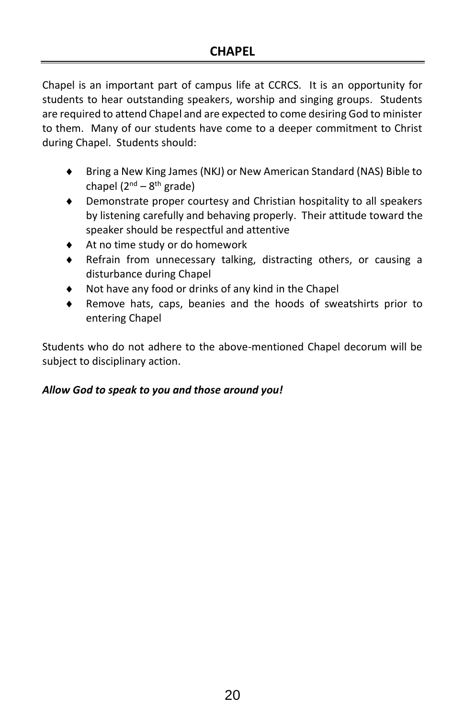Chapel is an important part of campus life at CCRCS. It is an opportunity for students to hear outstanding speakers, worship and singing groups. Students are required to attend Chapel and are expected to come desiring God to minister to them. Many of our students have come to a deeper commitment to Christ during Chapel. Students should:

- Bring a New King James (NKJ) or New American Standard (NAS) Bible to chapel (2<sup>nd</sup> – 8<sup>th</sup> grade)
- Demonstrate proper courtesy and Christian hospitality to all speakers by listening carefully and behaving properly. Their attitude toward the speaker should be respectful and attentive
- At no time study or do homework
- Refrain from unnecessary talking, distracting others, or causing a disturbance during Chapel
- Not have any food or drinks of any kind in the Chapel
- Remove hats, caps, beanies and the hoods of sweatshirts prior to entering Chapel

Students who do not adhere to the above-mentioned Chapel decorum will be subject to disciplinary action.

#### *Allow God to speak to you and those around you!*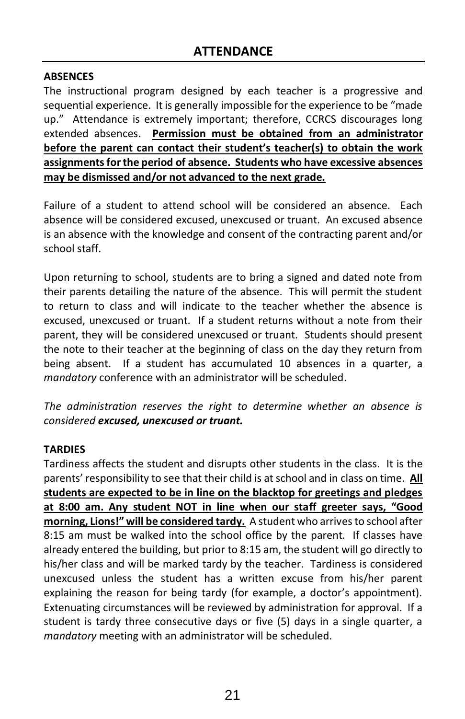### **ABSENCES**

The instructional program designed by each teacher is a progressive and sequential experience. It is generally impossible for the experience to be "made up." Attendance is extremely important; therefore, CCRCS discourages long extended absences. **Permission must be obtained from an administrator before the parent can contact their student's teacher(s) to obtain the work assignments for the period of absence. Students who have excessive absences may be dismissed and/or not advanced to the next grade.** 

Failure of a student to attend school will be considered an absence. Each absence will be considered excused, unexcused or truant. An excused absence is an absence with the knowledge and consent of the contracting parent and/or school staff.

Upon returning to school, students are to bring a signed and dated note from their parents detailing the nature of the absence. This will permit the student to return to class and will indicate to the teacher whether the absence is excused, unexcused or truant. If a student returns without a note from their parent, they will be considered unexcused or truant. Students should present the note to their teacher at the beginning of class on the day they return from being absent. If a student has accumulated 10 absences in a quarter, a *mandatory* conference with an administrator will be scheduled.

*The administration reserves the right to determine whether an absence is considered excused, unexcused or truant.*

# **TARDIES**

Tardiness affects the student and disrupts other students in the class. It is the parents' responsibility to see that their child is at school and in class on time. **All students are expected to be in line on the blacktop for greetings and pledges at 8:00 am. Any student NOT in line when our staff greeter says, "Good morning, Lions!" will be considered tardy.** A student who arrives to school after 8:15 am must be walked into the school office by the parent. If classes have already entered the building, but prior to 8:15 am, the student will go directly to his/her class and will be marked tardy by the teacher. Tardiness is considered unexcused unless the student has a written excuse from his/her parent explaining the reason for being tardy (for example, a doctor's appointment). Extenuating circumstances will be reviewed by administration for approval. If a student is tardy three consecutive days or five (5) days in a single quarter, a *mandatory* meeting with an administrator will be scheduled.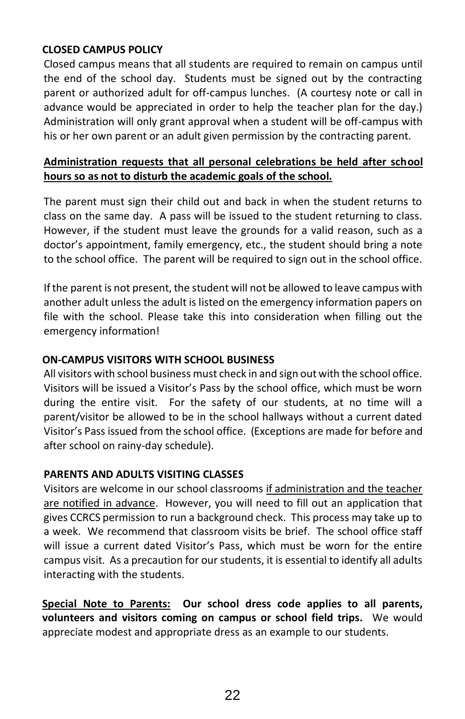#### **CLOSED CAMPUS POLICY**

Closed campus means that all students are required to remain on campus until the end of the school day. Students must be signed out by the contracting parent or authorized adult for off-campus lunches. (A courtesy note or call in advance would be appreciated in order to help the teacher plan for the day.) Administration will only grant approval when a student will be off-campus with his or her own parent or an adult given permission by the contracting parent.

# **Administration requests that all personal celebrations be held after school hours so as not to disturb the academic goals of the school.**

The parent must sign their child out and back in when the student returns to class on the same day. A pass will be issued to the student returning to class. However, if the student must leave the grounds for a valid reason, such as a doctor's appointment, family emergency, etc., the student should bring a note to the school office. The parent will be required to sign out in the school office.

If the parent is not present, the student will not be allowed to leave campus with another adult unless the adult is listed on the emergency information papers on file with the school. Please take this into consideration when filling out the emergency information!

### **ON-CAMPUS VISITORS WITH SCHOOL BUSINESS**

All visitors with school business must check in and sign out with the school office. Visitors will be issued a Visitor's Pass by the school office, which must be worn during the entire visit. For the safety of our students, at no time will a parent/visitor be allowed to be in the school hallways without a current dated Visitor's Pass issued from the school office. (Exceptions are made for before and after school on rainy-day schedule).

#### **PARENTS AND ADULTS VISITING CLASSES**

Visitors are welcome in our school classrooms if administration and the teacher are notified in advance. However, you will need to fill out an application that gives CCRCS permission to run a background check. This process may take up to a week. We recommend that classroom visits be brief. The school office staff will issue a current dated Visitor's Pass, which must be worn for the entire campus visit. As a precaution for our students, it is essential to identify all adults interacting with the students.

**Special Note to Parents: Our school dress code applies to all parents, volunteers and visitors coming on campus or school field trips.** We would appreciate modest and appropriate dress as an example to our students.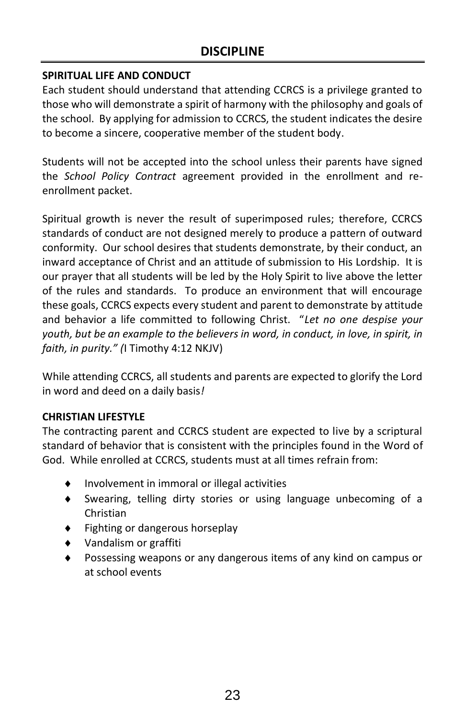# **SPIRITUAL LIFE AND CONDUCT**

Each student should understand that attending CCRCS is a privilege granted to those who will demonstrate a spirit of harmony with the philosophy and goals of the school. By applying for admission to CCRCS, the student indicates the desire to become a sincere, cooperative member of the student body.

Students will not be accepted into the school unless their parents have signed the *School Policy Contract* agreement provided in the enrollment and reenrollment packet.

Spiritual growth is never the result of superimposed rules; therefore, CCRCS standards of conduct are not designed merely to produce a pattern of outward conformity. Our school desires that students demonstrate, by their conduct, an inward acceptance of Christ and an attitude of submission to His Lordship. It is our prayer that all students will be led by the Holy Spirit to live above the letter of the rules and standards. To produce an environment that will encourage these goals, CCRCS expects every student and parent to demonstrate by attitude and behavior a life committed to following Christ. "*Let no one despise your youth, but be an example to the believers in word, in conduct, in love, in spirit, in faith, in purity." (*I Timothy 4:12 NKJV)

While attending CCRCS, all students and parents are expected to glorify the Lord in word and deed on a daily basis*!*

# **CHRISTIAN LIFESTYLE**

The contracting parent and CCRCS student are expected to live by a scriptural standard of behavior that is consistent with the principles found in the Word of God. While enrolled at CCRCS, students must at all times refrain from:

- Involvement in immoral or illegal activities
- Swearing, telling dirty stories or using language unbecoming of a Christian
- Fighting or dangerous horseplay
- Vandalism or graffiti
- Possessing weapons or any dangerous items of any kind on campus or at school events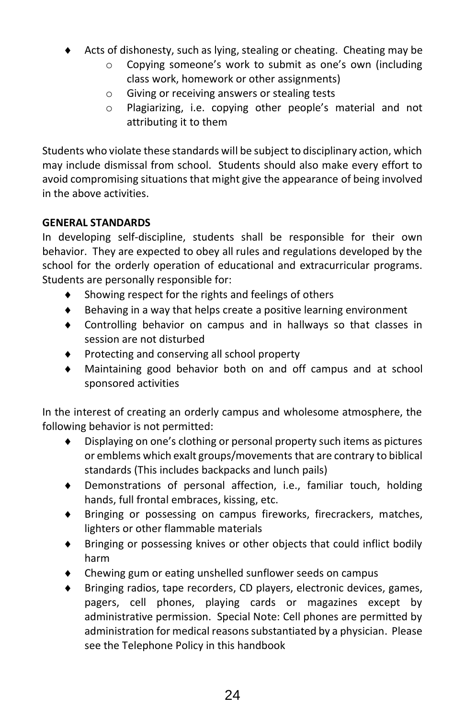- $\triangle$  Acts of dishonesty, such as lying, stealing or cheating. Cheating may be
	- o Copying someone's work to submit as one's own (including class work, homework or other assignments)
	- o Giving or receiving answers or stealing tests
	- o Plagiarizing, i.e. copying other people's material and not attributing it to them

Students who violate these standards will be subject to disciplinary action, which may include dismissal from school. Students should also make every effort to avoid compromising situations that might give the appearance of being involved in the above activities.

# **GENERAL STANDARDS**

In developing self-discipline, students shall be responsible for their own behavior. They are expected to obey all rules and regulations developed by the school for the orderly operation of educational and extracurricular programs. Students are personally responsible for:

- Showing respect for the rights and feelings of others
- $\bullet$  Behaving in a way that helps create a positive learning environment
- Controlling behavior on campus and in hallways so that classes in session are not disturbed
- ◆ Protecting and conserving all school property
- Maintaining good behavior both on and off campus and at school sponsored activities

In the interest of creating an orderly campus and wholesome atmosphere, the following behavior is not permitted:

- Displaying on one's clothing or personal property such items as pictures or emblems which exalt groups/movements that are contrary to biblical standards (This includes backpacks and lunch pails)
- Demonstrations of personal affection, i.e., familiar touch, holding hands, full frontal embraces, kissing, etc.
- Bringing or possessing on campus fireworks, firecrackers, matches, lighters or other flammable materials
- Bringing or possessing knives or other objects that could inflict bodily harm
- Chewing gum or eating unshelled sunflower seeds on campus
- Bringing radios, tape recorders, CD players, electronic devices, games, pagers, cell phones, playing cards or magazines except by administrative permission. Special Note: Cell phones are permitted by administration for medical reasons substantiated by a physician. Please see the Telephone Policy in this handbook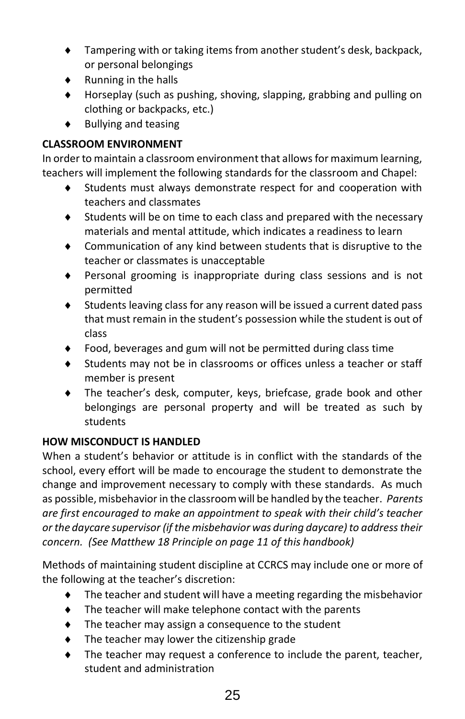- Tampering with or taking items from another student's desk, backpack, or personal belongings
- Running in the halls
- Horseplay (such as pushing, shoving, slapping, grabbing and pulling on clothing or backpacks, etc.)
- $\bullet$  Bullying and teasing

# **CLASSROOM ENVIRONMENT**

In order to maintain a classroom environment that allows for maximum learning, teachers will implement the following standards for the classroom and Chapel:

- Students must always demonstrate respect for and cooperation with teachers and classmates
- Students will be on time to each class and prepared with the necessary materials and mental attitude, which indicates a readiness to learn
- Communication of any kind between students that is disruptive to the teacher or classmates is unacceptable
- Personal grooming is inappropriate during class sessions and is not permitted
- Students leaving class for any reason will be issued a current dated pass that must remain in the student's possession while the student is out of class
- Food, beverages and gum will not be permitted during class time
- Students may not be in classrooms or offices unless a teacher or staff member is present
- The teacher's desk, computer, keys, briefcase, grade book and other belongings are personal property and will be treated as such by students

# **HOW MISCONDUCT IS HANDLED**

When a student's behavior or attitude is in conflict with the standards of the school, every effort will be made to encourage the student to demonstrate the change and improvement necessary to comply with these standards. As much as possible, misbehavior in the classroom will be handled by the teacher. *Parents are first encouraged to make an appointment to speak with their child's teacher or the daycare supervisor (if the misbehavior was during daycare) to address their concern. (See Matthew 18 Principle on page 11 of this handbook)*

Methods of maintaining student discipline at CCRCS may include one or more of the following at the teacher's discretion:

- The teacher and student will have a meeting regarding the misbehavior
- The teacher will make telephone contact with the parents
- The teacher may assign a consequence to the student
- ◆ The teacher may lower the citizenship grade
- The teacher may request a conference to include the parent, teacher, student and administration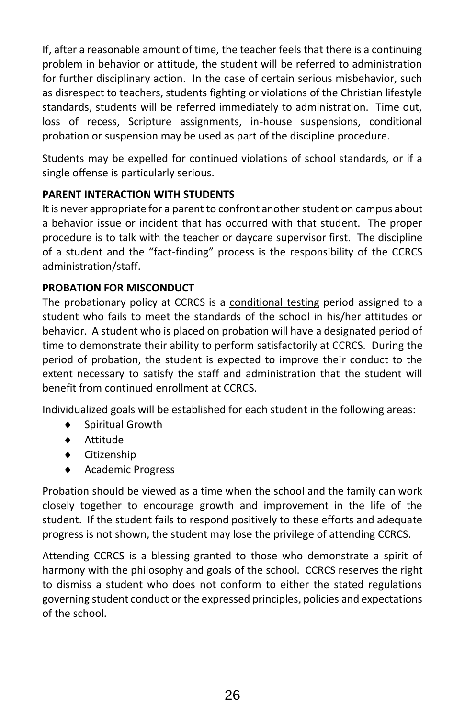If, after a reasonable amount of time, the teacher feels that there is a continuing problem in behavior or attitude, the student will be referred to administration for further disciplinary action. In the case of certain serious misbehavior, such as disrespect to teachers, students fighting or violations of the Christian lifestyle standards, students will be referred immediately to administration. Time out, loss of recess, Scripture assignments, in-house suspensions, conditional probation or suspension may be used as part of the discipline procedure.

Students may be expelled for continued violations of school standards, or if a single offense is particularly serious.

# **PARENT INTERACTION WITH STUDENTS**

It is never appropriate for a parent to confront another student on campus about a behavior issue or incident that has occurred with that student. The proper procedure is to talk with the teacher or daycare supervisor first. The discipline of a student and the "fact-finding" process is the responsibility of the CCRCS administration/staff.

# **PROBATION FOR MISCONDUCT**

The probationary policy at CCRCS is a conditional testing period assigned to a student who fails to meet the standards of the school in his/her attitudes or behavior. A student who is placed on probation will have a designated period of time to demonstrate their ability to perform satisfactorily at CCRCS. During the period of probation, the student is expected to improve their conduct to the extent necessary to satisfy the staff and administration that the student will benefit from continued enrollment at CCRCS.

Individualized goals will be established for each student in the following areas:

- Spiritual Growth
- Attitude
- Citizenship
- ◆ Academic Progress

Probation should be viewed as a time when the school and the family can work closely together to encourage growth and improvement in the life of the student. If the student fails to respond positively to these efforts and adequate progress is not shown, the student may lose the privilege of attending CCRCS.

Attending CCRCS is a blessing granted to those who demonstrate a spirit of harmony with the philosophy and goals of the school. CCRCS reserves the right to dismiss a student who does not conform to either the stated regulations governing student conduct or the expressed principles, policies and expectations of the school.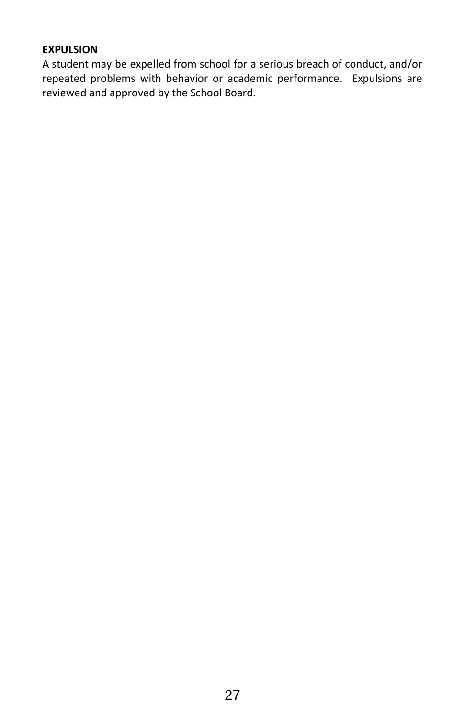#### **EXPULSION**

A student may be expelled from school for a serious breach of conduct, and/or repeated problems with behavior or academic performance. Expulsions are reviewed and approved by the School Board.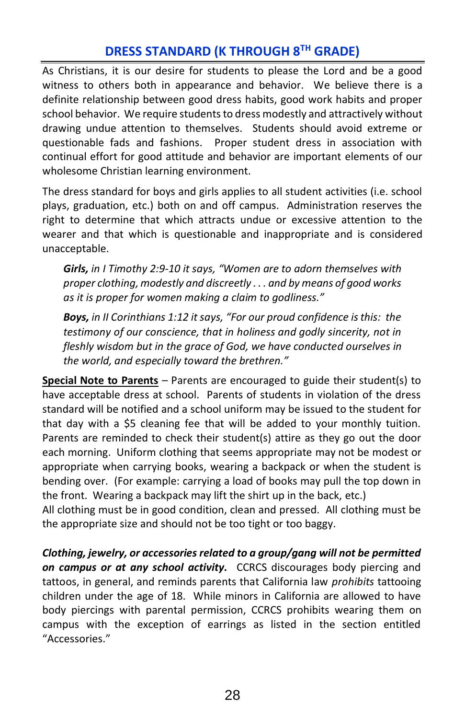# **DRESS STANDARD (K THROUGH 8TH GRADE)**

As Christians, it is our desire for students to please the Lord and be a good witness to others both in appearance and behavior. We believe there is a definite relationship between good dress habits, good work habits and proper school behavior. We require students to dress modestly and attractively without drawing undue attention to themselves. Students should avoid extreme or questionable fads and fashions. Proper student dress in association with continual effort for good attitude and behavior are important elements of our wholesome Christian learning environment.

The dress standard for boys and girls applies to all student activities (i.e. school plays, graduation, etc.) both on and off campus. Administration reserves the right to determine that which attracts undue or excessive attention to the wearer and that which is questionable and inappropriate and is considered unacceptable.

*Girls, in I Timothy 2:9-10 it says, "Women are to adorn themselves with proper clothing, modestly and discreetly . . . and by means of good works as it is proper for women making a claim to godliness."*

*Boys, in II Corinthians 1:12 it says, "For our proud confidence is this: the testimony of our conscience, that in holiness and godly sincerity, not in fleshly wisdom but in the grace of God, we have conducted ourselves in the world, and especially toward the brethren."*

**Special Note to Parents** – Parents are encouraged to guide their student(s) to have acceptable dress at school. Parents of students in violation of the dress standard will be notified and a school uniform may be issued to the student for that day with a \$5 cleaning fee that will be added to your monthly tuition. Parents are reminded to check their student(s) attire as they go out the door each morning. Uniform clothing that seems appropriate may not be modest or appropriate when carrying books, wearing a backpack or when the student is bending over. (For example: carrying a load of books may pull the top down in the front. Wearing a backpack may lift the shirt up in the back, etc.)

All clothing must be in good condition, clean and pressed. All clothing must be the appropriate size and should not be too tight or too baggy.

*Clothing, jewelry, or accessories related to a group/gang will not be permitted on campus or at any school activity.* CCRCS discourages body piercing and tattoos, in general, and reminds parents that California law *prohibits* tattooing children under the age of 18. While minors in California are allowed to have body piercings with parental permission, CCRCS prohibits wearing them on campus with the exception of earrings as listed in the section entitled "Accessories."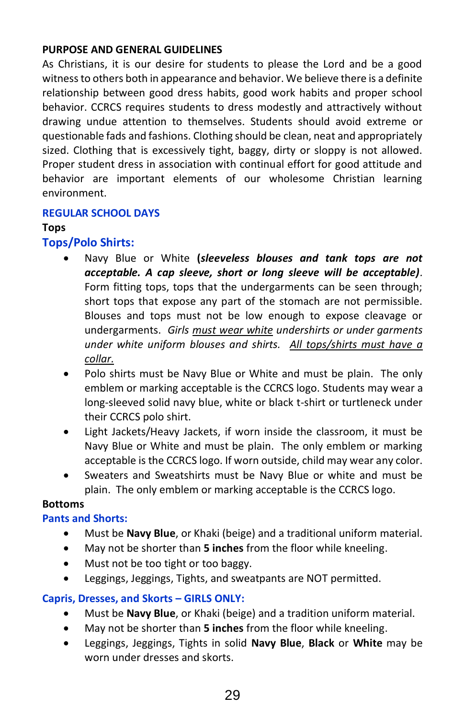# **PURPOSE AND GENERAL GUIDELINES**

As Christians, it is our desire for students to please the Lord and be a good witness to others both in appearance and behavior. We believe there is a definite relationship between good dress habits, good work habits and proper school behavior. CCRCS requires students to dress modestly and attractively without drawing undue attention to themselves. Students should avoid extreme or questionable fads and fashions. Clothing should be clean, neat and appropriately sized. Clothing that is excessively tight, baggy, dirty or sloppy is not allowed. Proper student dress in association with continual effort for good attitude and behavior are important elements of our wholesome Christian learning environment.

#### **REGULAR SCHOOL DAYS**

#### **Tops**

# **Tops/Polo Shirts:**

- Navy Blue or White **(***sleeveless blouses and tank tops are not acceptable. A cap sleeve, short or long sleeve will be acceptable).*  Form fitting tops, tops that the undergarments can be seen through; short tops that expose any part of the stomach are not permissible. Blouses and tops must not be low enough to expose cleavage or undergarments. *Girls must wear white undershirts or under garments under white uniform blouses and shirts. All tops/shirts must have a collar.*
- Polo shirts must be Navy Blue or White and must be plain. The only emblem or marking acceptable is the CCRCS logo. Students may wear a long-sleeved solid navy blue, white or black t-shirt or turtleneck under their CCRCS polo shirt.
- Light Jackets/Heavy Jackets, if worn inside the classroom, it must be Navy Blue or White and must be plain. The only emblem or marking acceptable is the CCRCS logo. If worn outside, child may wear any color.
- Sweaters and Sweatshirts must be Navy Blue or white and must be plain. The only emblem or marking acceptable is the CCRCS logo.

#### **Bottoms**

#### **Pants and Shorts:**

- Must be **Navy Blue**, or Khaki (beige) and a traditional uniform material.
- May not be shorter than **5 inches** from the floor while kneeling.
- Must not be too tight or too baggy.
- Leggings, Jeggings, Tights, and sweatpants are NOT permitted.

#### **Capris, Dresses, and Skorts – GIRLS ONLY:**

- Must be **Navy Blue**, or Khaki (beige) and a tradition uniform material.
- May not be shorter than **5 inches** from the floor while kneeling.
- Leggings, Jeggings, Tights in solid **Navy Blue**, **Black** or **White** may be worn under dresses and skorts.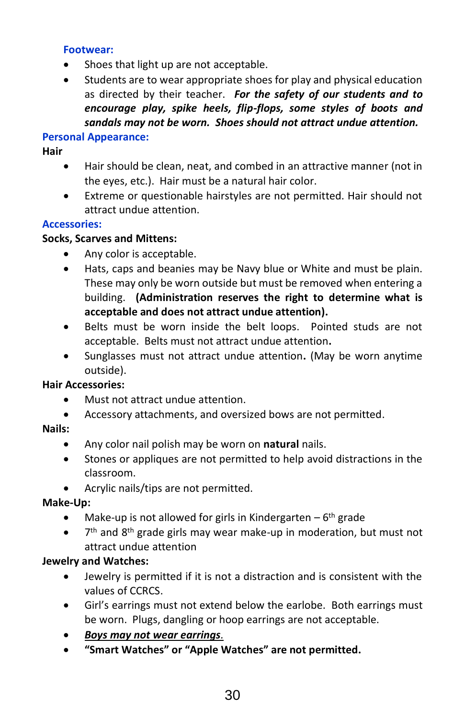#### **Footwear:**

- Shoes that light up are not acceptable.
- Students are to wear appropriate shoes for play and physical education as directed by their teacher. *For the safety of our students and to encourage play, spike heels, flip-flops, some styles of boots and sandals may not be worn. Shoes should not attract undue attention.*

#### **Personal Appearance:**

#### **Hair**

- Hair should be clean, neat, and combed in an attractive manner (not in the eyes, etc.). Hair must be a natural hair color.
- Extreme or questionable hairstyles are not permitted. Hair should not attract undue attention.

#### **Accessories:**

#### **Socks, Scarves and Mittens:**

- Any color is acceptable.
- Hats, caps and beanies may be Navy blue or White and must be plain. These may only be worn outside but must be removed when entering a building. **(Administration reserves the right to determine what is acceptable and does not attract undue attention).**
- Belts must be worn inside the belt loops. Pointed studs are not acceptable. Belts must not attract undue attention**.**
- Sunglasses must not attract undue attention**.** (May be worn anytime outside).

#### **Hair Accessories:**

- Must not attract undue attention.
- Accessory attachments, and oversized bows are not permitted.

#### **Nails:**

- Any color nail polish may be worn on **natural** nails.
- Stones or appliques are not permitted to help avoid distractions in the classroom.
- Acrylic nails/tips are not permitted.

#### **Make-Up:**

- Make-up is not allowed for girls in Kindergarten  $-6$ <sup>th</sup> grade
- 7<sup>th</sup> and 8<sup>th</sup> grade girls may wear make-up in moderation, but must not attract undue attention

#### **Jewelry and Watches:**

- Jewelry is permitted if it is not a distraction and is consistent with the values of CCRCS.
- Girl's earrings must not extend below the earlobe. Both earrings must be worn. Plugs, dangling or hoop earrings are not acceptable.
- *Boys may not wear earrings.*
- **"Smart Watches" or "Apple Watches" are not permitted.**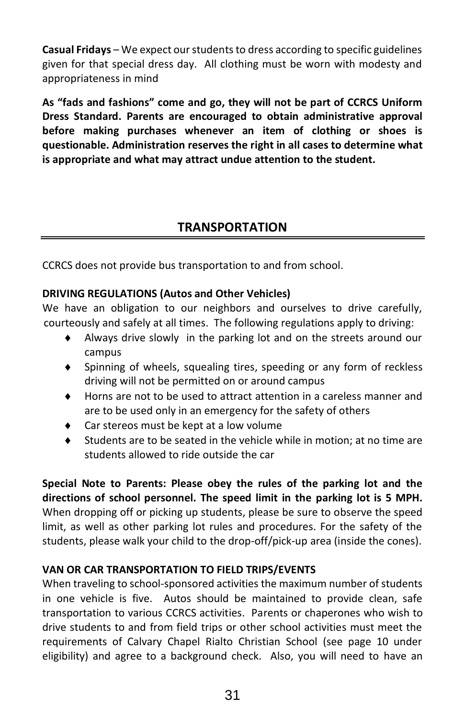**Casual Fridays** – We expect our students to dress according to specific guidelines given for that special dress day. All clothing must be worn with modesty and appropriateness in mind

**As "fads and fashions" come and go, they will not be part of CCRCS Uniform Dress Standard. Parents are encouraged to obtain administrative approval before making purchases whenever an item of clothing or shoes is questionable. Administration reserves the right in all cases to determine what is appropriate and what may attract undue attention to the student.** 

# **TRANSPORTATION**

CCRCS does not provide bus transportation to and from school.

# **DRIVING REGULATIONS (Autos and Other Vehicles)**

We have an obligation to our neighbors and ourselves to drive carefully, courteously and safely at all times. The following regulations apply to driving:

- Always drive slowly in the parking lot and on the streets around our campus
- ◆ Spinning of wheels, squealing tires, speeding or any form of reckless driving will not be permitted on or around campus
- Horns are not to be used to attract attention in a careless manner and are to be used only in an emergency for the safety of others
- Car stereos must be kept at a low volume
- Students are to be seated in the vehicle while in motion; at no time are students allowed to ride outside the car

**Special Note to Parents: Please obey the rules of the parking lot and the directions of school personnel. The speed limit in the parking lot is 5 MPH.** When dropping off or picking up students, please be sure to observe the speed limit, as well as other parking lot rules and procedures. For the safety of the students, please walk your child to the drop-off/pick-up area (inside the cones).

# **VAN OR CAR TRANSPORTATION TO FIELD TRIPS/EVENTS**

When traveling to school-sponsored activities the maximum number of students in one vehicle is five. Autos should be maintained to provide clean, safe transportation to various CCRCS activities. Parents or chaperones who wish to drive students to and from field trips or other school activities must meet the requirements of Calvary Chapel Rialto Christian School (see page 10 under eligibility) and agree to a background check. Also, you will need to have an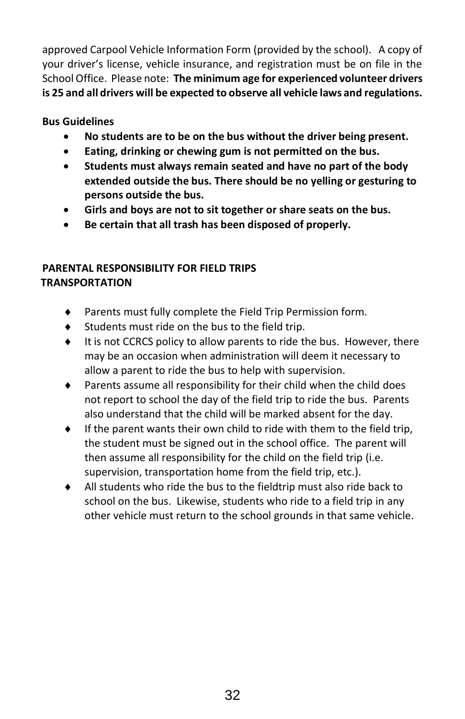approved Carpool Vehicle Information Form (provided by the school). A copy of your driver's license, vehicle insurance, and registration must be on file in the School Office. Please note: **The minimum age for experienced volunteer drivers is 25 and all drivers will be expected to observe all vehicle laws and regulations.**

### **Bus Guidelines**

- **No students are to be on the bus without the driver being present.**
- **Eating, drinking or chewing gum is not permitted on the bus.**
- **Students must always remain seated and have no part of the body extended outside the bus. There should be no yelling or gesturing to persons outside the bus.**
- **Girls and boys are not to sit together or share seats on the bus.**
- **Be certain that all trash has been disposed of properly.**

# **PARENTAL RESPONSIBILITY FOR FIELD TRIPS TRANSPORTATION**

- Parents must fully complete the Field Trip Permission form.
- Students must ride on the bus to the field trip.
- It is not CCRCS policy to allow parents to ride the bus. However, there may be an occasion when administration will deem it necessary to allow a parent to ride the bus to help with supervision.
- Parents assume all responsibility for their child when the child does not report to school the day of the field trip to ride the bus. Parents also understand that the child will be marked absent for the day.
- If the parent wants their own child to ride with them to the field trip, the student must be signed out in the school office. The parent will then assume all responsibility for the child on the field trip (i.e. supervision, transportation home from the field trip, etc.).
- All students who ride the bus to the fieldtrip must also ride back to school on the bus. Likewise, students who ride to a field trip in any other vehicle must return to the school grounds in that same vehicle.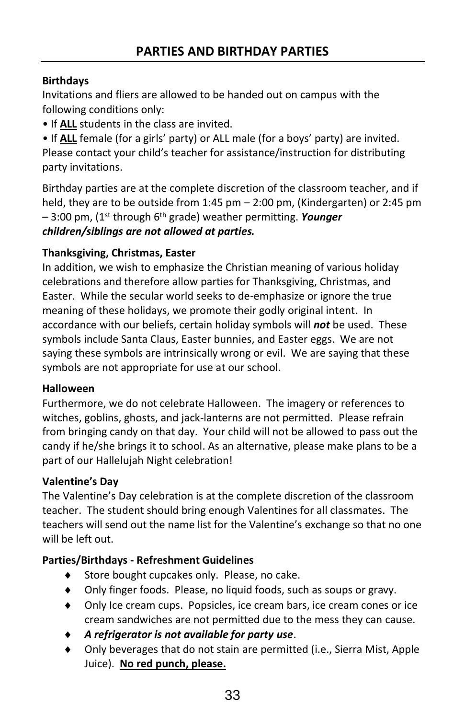# **Birthdays**

Invitations and fliers are allowed to be handed out on campus with the following conditions only:

• If **ALL** students in the class are invited.

• If **ALL** female (for a girls' party) or ALL male (for a boys' party) are invited. Please contact your child's teacher for assistance/instruction for distributing party invitations.

Birthday parties are at the complete discretion of the classroom teacher, and if held, they are to be outside from 1:45 pm – 2:00 pm, (Kindergarten) or 2:45 pm – 3:00 pm, (1st through 6th grade) weather permitting. *Younger children/siblings are not allowed at parties.*

# **Thanksgiving, Christmas, Easter**

In addition, we wish to emphasize the Christian meaning of various holiday celebrations and therefore allow parties for Thanksgiving, Christmas, and Easter. While the secular world seeks to de-emphasize or ignore the true meaning of these holidays, we promote their godly original intent. In accordance with our beliefs, certain holiday symbols will *not* be used. These symbols include Santa Claus, Easter bunnies, and Easter eggs. We are not saying these symbols are intrinsically wrong or evil. We are saying that these symbols are not appropriate for use at our school.

#### **Halloween**

Furthermore, we do not celebrate Halloween. The imagery or references to witches, goblins, ghosts, and jack-lanterns are not permitted. Please refrain from bringing candy on that day. Your child will not be allowed to pass out the candy if he/she brings it to school. As an alternative, please make plans to be a part of our Hallelujah Night celebration!

# **Valentine's Day**

The Valentine's Day celebration is at the complete discretion of the classroom teacher. The student should bring enough Valentines for all classmates. The teachers will send out the name list for the Valentine's exchange so that no one will be left out.

# **Parties/Birthdays - Refreshment Guidelines**

- ◆ Store bought cupcakes only. Please, no cake.
- Only finger foods. Please, no liquid foods, such as soups or gravy.
- Only Ice cream cups. Popsicles, ice cream bars, ice cream cones or ice cream sandwiches are not permitted due to the mess they can cause.
- *A refrigerator is not available for party use*.
- Only beverages that do not stain are permitted (i.e., Sierra Mist, Apple Juice). **No red punch, please.**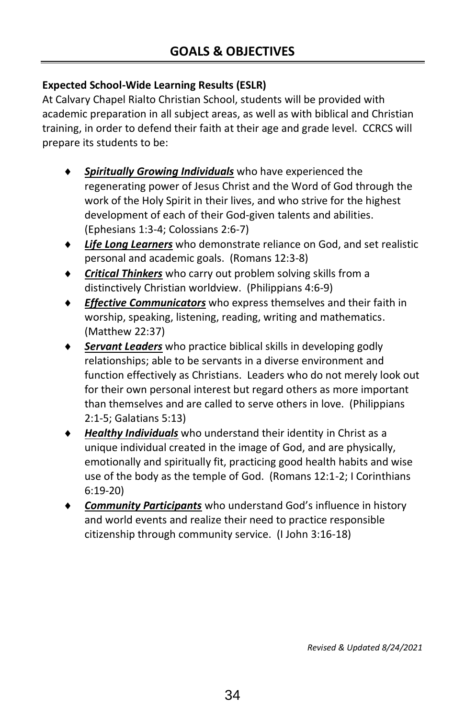# **Expected School-Wide Learning Results (ESLR)**

At Calvary Chapel Rialto Christian School, students will be provided with academic preparation in all subject areas, as well as with biblical and Christian training, in order to defend their faith at their age and grade level. CCRCS will prepare its students to be:

- *Spiritually Growing Individuals* who have experienced the regenerating power of Jesus Christ and the Word of God through the work of the Holy Spirit in their lives, and who strive for the highest development of each of their God-given talents and abilities. (Ephesians 1:3-4; Colossians 2:6-7)
- *Life Long Learners* who demonstrate reliance on God, and set realistic personal and academic goals. (Romans 12:3-8)
- *Critical Thinkers* who carry out problem solving skills from a distinctively Christian worldview. (Philippians 4:6-9)
- *Effective Communicators* who express themselves and their faith in worship, speaking, listening, reading, writing and mathematics. (Matthew 22:37)
- *Servant Leaders* who practice biblical skills in developing godly relationships; able to be servants in a diverse environment and function effectively as Christians. Leaders who do not merely look out for their own personal interest but regard others as more important than themselves and are called to serve others in love. (Philippians 2:1-5; Galatians 5:13)
- *Healthy Individuals* who understand their identity in Christ as a unique individual created in the image of God, and are physically, emotionally and spiritually fit, practicing good health habits and wise use of the body as the temple of God. (Romans 12:1-2; I Corinthians 6:19-20)
- *Community Participants* who understand God's influence in history and world events and realize their need to practice responsible citizenship through community service. (I John 3:16-18)

*Revised & Updated 8/24/2021*